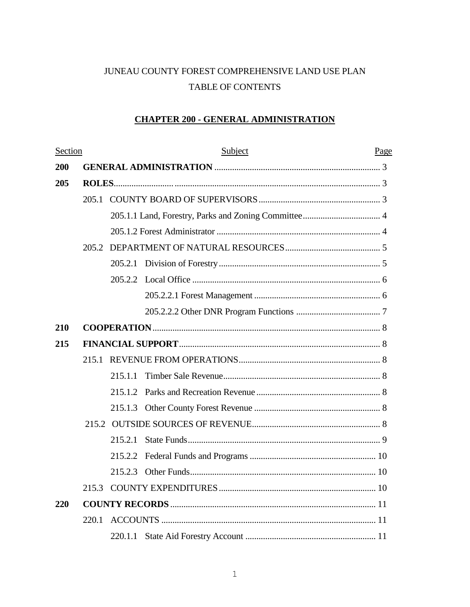# JUNEAU COUNTY FOREST COMPREHENSIVE LAND USE PLAN TABLE OF CONTENTS

# **CHAPTER 200 - GENERAL ADMINISTRATION**

| Section    |       | Subject |  | Page |
|------------|-------|---------|--|------|
| 200        |       |         |  |      |
| 205        |       |         |  |      |
|            |       |         |  |      |
|            | 205.2 |         |  |      |
|            |       |         |  |      |
|            |       |         |  |      |
|            |       |         |  |      |
|            |       |         |  |      |
|            |       |         |  |      |
|            |       |         |  |      |
| 210        |       |         |  |      |
| 215        |       |         |  |      |
|            |       |         |  |      |
|            |       | 215.1.1 |  |      |
|            |       |         |  |      |
|            |       |         |  |      |
|            |       |         |  |      |
|            |       | 215.2.1 |  |      |
|            |       |         |  |      |
|            |       |         |  |      |
|            |       |         |  |      |
| <b>220</b> |       |         |  |      |
| 220.1      |       |         |  |      |
|            |       |         |  |      |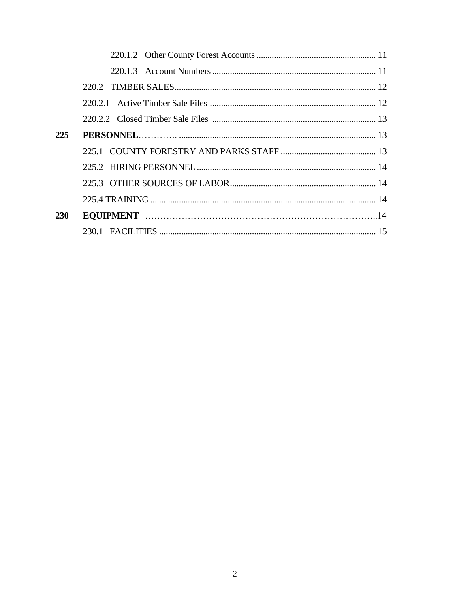| 225        |  |
|------------|--|
|            |  |
|            |  |
|            |  |
|            |  |
| <b>230</b> |  |
|            |  |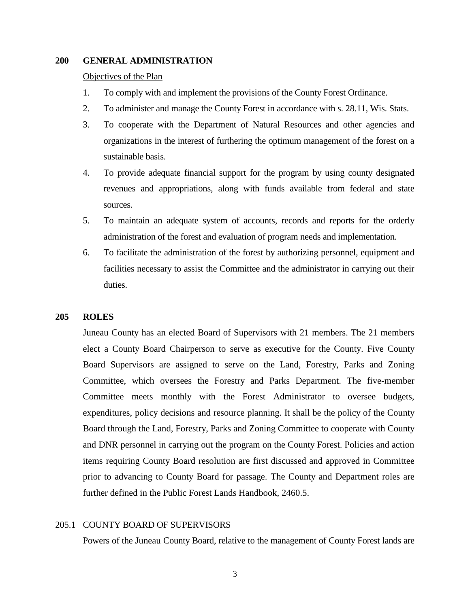## **200 GENERAL ADMINISTRATION**

#### Objectives of the Plan

- 1. To comply with and implement the provisions of the County Forest Ordinance.
- 2. To administer and manage the County Forest in accordance with s. 28.11, Wis. Stats.
- 3. To cooperate with the Department of Natural Resources and other agencies and organizations in the interest of furthering the optimum management of the forest on a sustainable basis.
- 4. To provide adequate financial support for the program by using county designated revenues and appropriations, along with funds available from federal and state sources.
- 5. To maintain an adequate system of accounts, records and reports for the orderly administration of the forest and evaluation of program needs and implementation.
- 6. To facilitate the administration of the forest by authorizing personnel, equipment and facilities necessary to assist the Committee and the administrator in carrying out their duties.

#### **205 ROLES**

Juneau County has an elected Board of Supervisors with 21 members. The 21 members elect a County Board Chairperson to serve as executive for the County. Five County Board Supervisors are assigned to serve on the Land, Forestry, Parks and Zoning Committee, which oversees the Forestry and Parks Department. The five-member Committee meets monthly with the Forest Administrator to oversee budgets, expenditures, policy decisions and resource planning. It shall be the policy of the County Board through the Land, Forestry, Parks and Zoning Committee to cooperate with County and DNR personnel in carrying out the program on the County Forest. Policies and action items requiring County Board resolution are first discussed and approved in Committee prior to advancing to County Board for passage. The County and Department roles are further defined in the Public Forest Lands Handbook, 2460.5.

#### 205.1 COUNTY BOARD OF SUPERVISORS

Powers of the Juneau County Board, relative to the management of County Forest lands are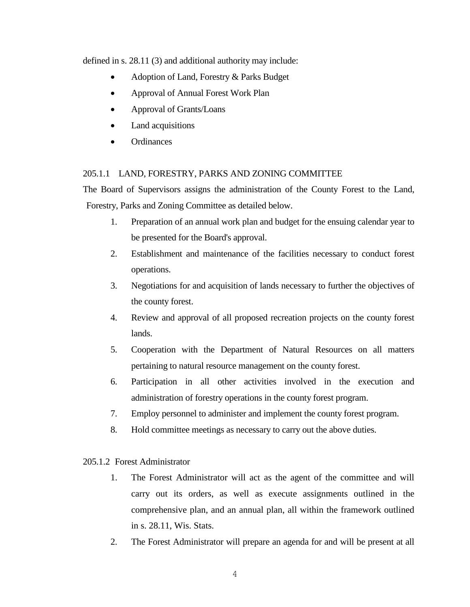defined in s. 28.11 (3) and additional authority may include:

- Adoption of Land, Forestry & Parks Budget
- Approval of Annual Forest Work Plan
- Approval of Grants/Loans
- Land acquisitions
- **Ordinances**

# 205.1.1 LAND, FORESTRY, PARKS AND ZONING COMMITTEE

The Board of Supervisors assigns the administration of the County Forest to the Land, Forestry, Parks and Zoning Committee as detailed below.

- 1. Preparation of an annual work plan and budget for the ensuing calendar year to be presented for the Board's approval.
- 2. Establishment and maintenance of the facilities necessary to conduct forest operations.
- 3. Negotiations for and acquisition of lands necessary to further the objectives of the county forest.
- 4. Review and approval of all proposed recreation projects on the county forest lands.
- 5. Cooperation with the Department of Natural Resources on all matters pertaining to natural resource management on the county forest.
- 6. Participation in all other activities involved in the execution and administration of forestry operations in the county forest program.
- 7. Employ personnel to administer and implement the county forest program.
- 8. Hold committee meetings as necessary to carry out the above duties.

# 205.1.2Forest Administrator

- 1. The Forest Administrator will act as the agent of the committee and will carry out its orders, as well as execute assignments outlined in the comprehensive plan, and an annual plan, all within the framework outlined in s. 28.11, Wis. Stats.
- 2. The Forest Administrator will prepare an agenda for and will be present at all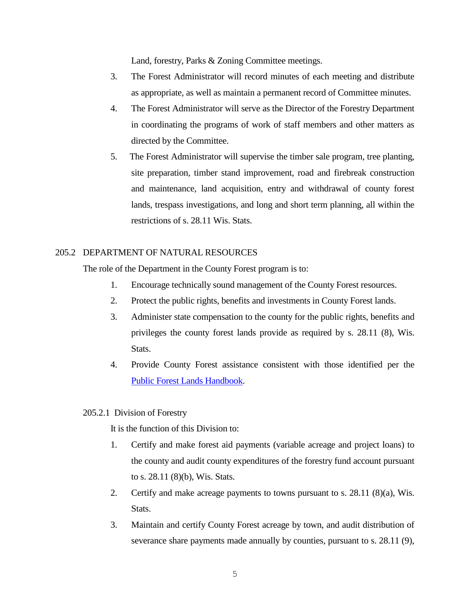Land, forestry, Parks & Zoning Committee meetings.

- 3. The Forest Administrator will record minutes of each meeting and distribute as appropriate, as well as maintain a permanent record of Committee minutes.
- 4. The Forest Administrator will serve as the Director of the Forestry Department in coordinating the programs of work of staff members and other matters as directed by the Committee.
- 5. The Forest Administrator will supervise the timber sale program, tree planting, site preparation, timber stand improvement, road and firebreak construction and maintenance, land acquisition, entry and withdrawal of county forest lands, trespass investigations, and long and short term planning, all within the restrictions of s. 28.11 Wis. Stats.

## 205.2 DEPARTMENT OF NATURAL RESOURCES

The role of the Department in the County Forest program is to:

- 1. Encourage technically sound management of the County Forest resources.
- 2. Protect the public rights, benefits and investments in County Forest lands.
- 3. Administer state compensation to the county for the public rights, benefits and privileges the county forest lands provide as required by s. 28.11 (8), Wis. Stats.
- 4. Provide County Forest assistance consistent with those identified per the [Public Forest Lands Handbook.](https://dnr.wi.gov/topic/ForestManagement/documents/24605.pdf)

## 205.2.1Division of Forestry

It is the function of this Division to:

- 1. Certify and make forest aid payments (variable acreage and project loans) to the county and audit county expenditures of the forestry fund account pursuant to s. 28.11 (8)(b), Wis. Stats.
- 2. Certify and make acreage payments to towns pursuant to s. 28.11 (8)(a), Wis. Stats.
- 3. Maintain and certify County Forest acreage by town, and audit distribution of severance share payments made annually by counties, pursuant to s. 28.11 (9),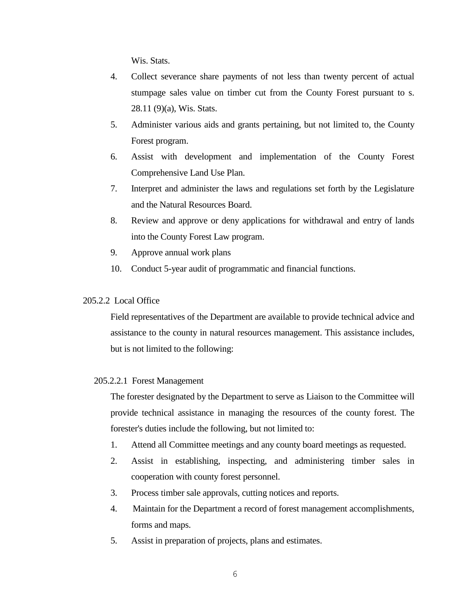Wis. Stats.

- 4. Collect severance share payments of not less than twenty percent of actual stumpage sales value on timber cut from the County Forest pursuant to s. 28.11 (9)(a), Wis. Stats.
- 5. Administer various aids and grants pertaining, but not limited to, the County Forest program.
- 6. Assist with development and implementation of the County Forest Comprehensive Land Use Plan.
- 7. Interpret and administer the laws and regulations set forth by the Legislature and the Natural Resources Board.
- 8. Review and approve or deny applications for withdrawal and entry of lands into the County Forest Law program.
- 9. Approve annual work plans
- 10. Conduct 5-year audit of programmatic and financial functions.

## 205.2.2 Local Office

Field representatives of the Department are available to provide technical advice and assistance to the county in natural resources management. This assistance includes, but is not limited to the following:

#### 205.2.2.1 Forest Management

The forester designated by the Department to serve as Liaison to the Committee will provide technical assistance in managing the resources of the county forest. The forester's duties include the following, but not limited to:

- 1. Attend all Committee meetings and any county board meetings as requested.
- 2. Assist in establishing, inspecting, and administering timber sales in cooperation with county forest personnel.
- 3. Process timber sale approvals, cutting notices and reports.
- 4. Maintain for the Department a record of forest management accomplishments, forms and maps.
- 5. Assist in preparation of projects, plans and estimates.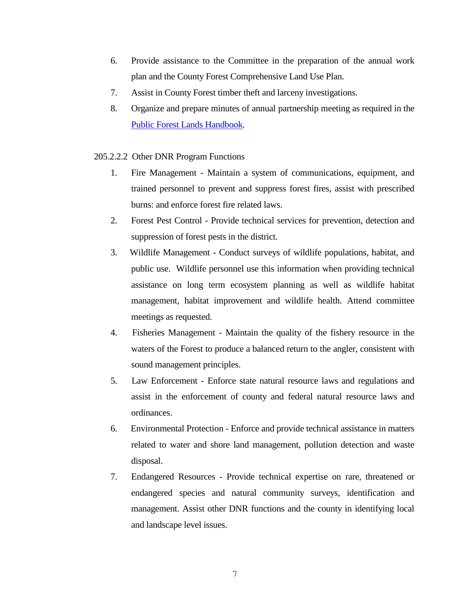- 6. Provide assistance to the Committee in the preparation of the annual work plan and the County Forest Comprehensive Land Use Plan.
- 7. Assist in County Forest timber theft and larceny investigations.
- 8. Organize and prepare minutes of annual partnership meeting as required in the [Public Forest Lands Handbook.](https://dnr.wi.gov/topic/ForestManagement/documents/24605.pdf)
- 205.2.2.2Other DNR Program Functions
	- 1. Fire Management Maintain a system of communications, equipment, and trained personnel to prevent and suppress forest fires, assist with prescribed burns: and enforce forest fire related laws.
	- 2. Forest Pest Control Provide technical services for prevention, detection and suppression of forest pests in the district.
	- 3. Wildlife Management Conduct surveys of wildlife populations, habitat, and public use. Wildlife personnel use this information when providing technical assistance on long term ecosystem planning as well as wildlife habitat management, habitat improvement and wildlife health. Attend committee meetings as requested.
	- 4. Fisheries Management Maintain the quality of the fishery resource in the waters of the Forest to produce a balanced return to the angler, consistent with sound management principles.
	- 5. Law Enforcement Enforce state natural resource laws and regulations and assist in the enforcement of county and federal natural resource laws and ordinances.
	- 6. Environmental Protection Enforce and provide technical assistance in matters related to water and shore land management, pollution detection and waste disposal.
	- 7. Endangered Resources Provide technical expertise on rare, threatened or endangered species and natural community surveys, identification and management. Assist other DNR functions and the county in identifying local and landscape level issues.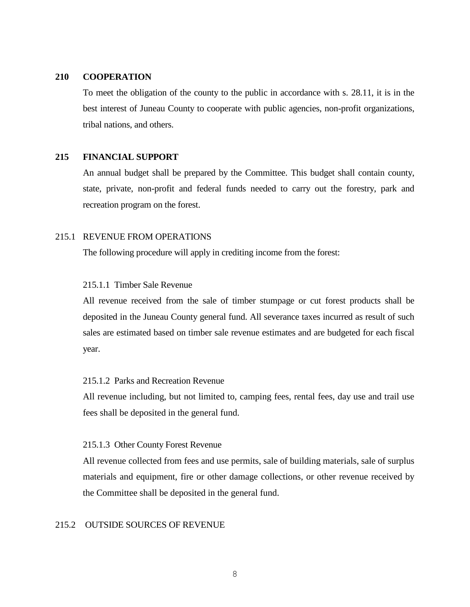## **210 COOPERATION**

To meet the obligation of the county to the public in accordance with s. 28.11, it is in the best interest of Juneau County to cooperate with public agencies, non-profit organizations, tribal nations, and others.

## **215 FINANCIAL SUPPORT**

An annual budget shall be prepared by the Committee. This budget shall contain county, state, private, non-profit and federal funds needed to carry out the forestry, park and recreation program on the forest.

#### 215.1 REVENUE FROM OPERATIONS

The following procedure will apply in crediting income from the forest:

## 215.1.1Timber Sale Revenue

All revenue received from the sale of timber stumpage or cut forest products shall be deposited in the Juneau County general fund. All severance taxes incurred as result of such sales are estimated based on timber sale revenue estimates and are budgeted for each fiscal year.

# 215.1.2 Parks and Recreation Revenue

All revenue including, but not limited to, camping fees, rental fees, day use and trail use fees shall be deposited in the general fund.

#### 215.1.3 Other County Forest Revenue

All revenue collected from fees and use permits, sale of building materials, sale of surplus materials and equipment, fire or other damage collections, or other revenue received by the Committee shall be deposited in the general fund.

#### 215.2 OUTSIDE SOURCES OF REVENUE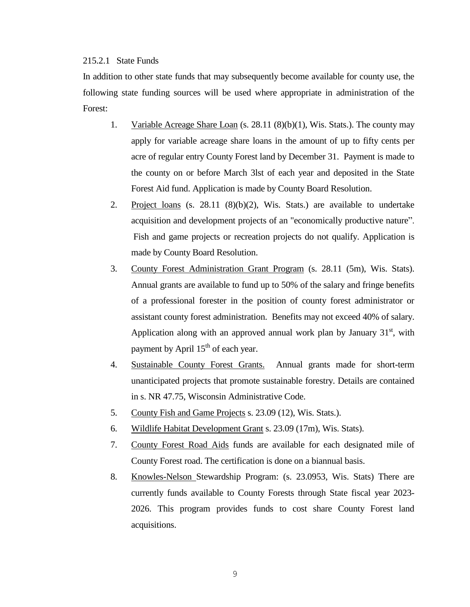## 215.2.1 State Funds

In addition to other state funds that may subsequently become available for county use, the following state funding sources will be used where appropriate in administration of the Forest:

- 1. Variable Acreage Share Loan (s. 28.11 (8)(b)(1), Wis. Stats.). The county may apply for variable acreage share loans in the amount of up to fifty cents per acre of regular entry County Forest land by December 31. Payment is made to the county on or before March 3lst of each year and deposited in the State Forest Aid fund. Application is made by County Board Resolution.
- 2. Project loans (s. 28.11 (8)(b)(2), Wis. Stats.) are available to undertake acquisition and development projects of an "economically productive nature". Fish and game projects or recreation projects do not qualify. Application is made by County Board Resolution.
- 3. County Forest Administration Grant Program (s. 28.11 (5m), Wis. Stats). Annual grants are available to fund up to 50% of the salary and fringe benefits of a professional forester in the position of county forest administrator or assistant county forest administration. Benefits may not exceed 40% of salary. Application along with an approved annual work plan by January  $31<sup>st</sup>$ , with payment by April  $15<sup>th</sup>$  of each year.
- 4. Sustainable County Forest Grants. Annual grants made for short-term unanticipated projects that promote sustainable forestry. Details are contained in s. NR 47.75, Wisconsin Administrative Code.
- 5. County Fish and Game Projects s. 23.09 (12), Wis. Stats.).
- 6. Wildlife Habitat Development Grant s. 23.09 (17m), Wis. Stats).
- 7. County Forest Road Aids funds are available for each designated mile of County Forest road. The certification is done on a biannual basis.
- 8. Knowles-Nelson Stewardship Program: (s. 23.0953, Wis. Stats) There are currently funds available to County Forests through State fiscal year 2023- 2026. This program provides funds to cost share County Forest land acquisitions.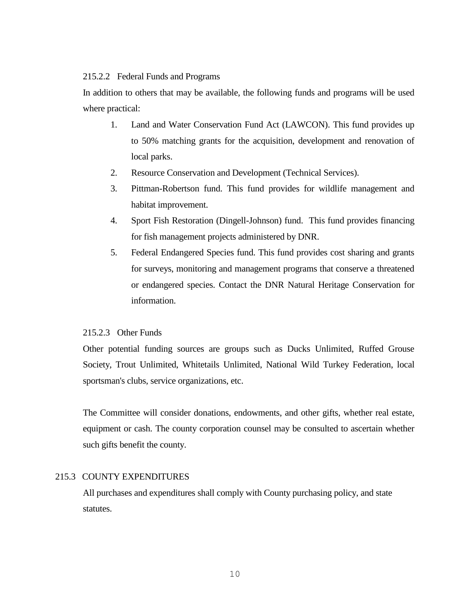## 215.2.2 Federal Funds and Programs

In addition to others that may be available, the following funds and programs will be used where practical:

- 1. Land and Water Conservation Fund Act (LAWCON). This fund provides up to 50% matching grants for the acquisition, development and renovation of local parks.
- 2. Resource Conservation and Development (Technical Services).
- 3. Pittman-Robertson fund. This fund provides for wildlife management and habitat improvement.
- 4. Sport Fish Restoration (Dingell-Johnson) fund. This fund provides financing for fish management projects administered by DNR.
- 5. Federal Endangered Species fund. This fund provides cost sharing and grants for surveys, monitoring and management programs that conserve a threatened or endangered species. Contact the DNR Natural Heritage Conservation for information.

## 215.2.3 Other Funds

Other potential funding sources are groups such as Ducks Unlimited, Ruffed Grouse Society, Trout Unlimited, Whitetails Unlimited, National Wild Turkey Federation, local sportsman's clubs, service organizations, etc.

The Committee will consider donations, endowments, and other gifts, whether real estate, equipment or cash. The county corporation counsel may be consulted to ascertain whether such gifts benefit the county.

# 215.3 COUNTY EXPENDITURES

All purchases and expenditures shall comply with County purchasing policy, and state statutes.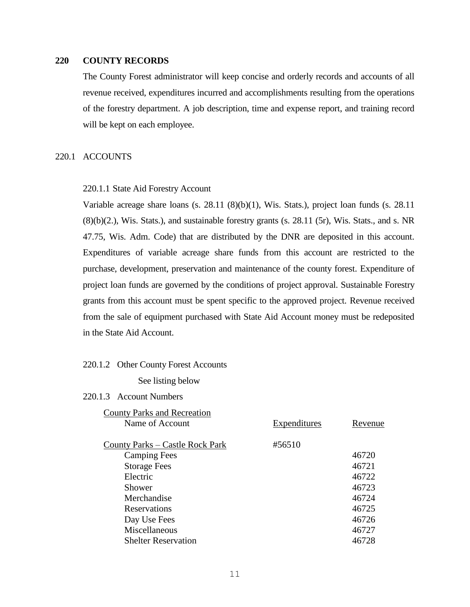## **220 COUNTY RECORDS**

The County Forest administrator will keep concise and orderly records and accounts of all revenue received, expenditures incurred and accomplishments resulting from the operations of the forestry department. A job description, time and expense report, and training record will be kept on each employee.

## 220.1 ACCOUNTS

#### 220.1.1 State Aid Forestry Account

Variable acreage share loans (s. 28.11 (8)(b)(1), Wis. Stats.), project loan funds (s. 28.11 (8)(b)(2.), Wis. Stats.), and sustainable forestry grants (s. 28.11 (5r), Wis. Stats., and s. NR 47.75, Wis. Adm. Code) that are distributed by the DNR are deposited in this account. Expenditures of variable acreage share funds from this account are restricted to the purchase, development, preservation and maintenance of the county forest. Expenditure of project loan funds are governed by the conditions of project approval. Sustainable Forestry grants from this account must be spent specific to the approved project. Revenue received from the sale of equipment purchased with State Aid Account money must be redeposited in the State Aid Account.

#### 220.1.2 Other County Forest Accounts

See listing below

#### 220.1.3 Account Numbers

| <b>County Parks and Recreation</b> |              |         |
|------------------------------------|--------------|---------|
| Name of Account                    | Expenditures | Revenue |
|                                    |              |         |
| County Parks – Castle Rock Park    | #56510       |         |
| <b>Camping Fees</b>                |              | 46720   |
| <b>Storage Fees</b>                |              | 46721   |
| Electric                           |              | 46722   |
| Shower                             |              | 46723   |
| Merchandise                        |              | 46724   |
| Reservations                       |              | 46725   |
| Day Use Fees                       |              | 46726   |
| Miscellaneous                      |              | 46727   |
| <b>Shelter Reservation</b>         |              | 46728   |
|                                    |              |         |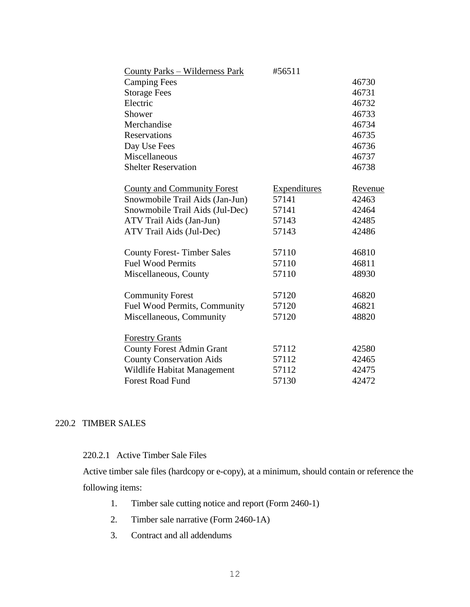| <b>County Parks – Wilderness Park</b> | #56511              |         |
|---------------------------------------|---------------------|---------|
| <b>Camping Fees</b>                   |                     | 46730   |
| <b>Storage Fees</b>                   |                     | 46731   |
| Electric                              |                     | 46732   |
| Shower                                |                     | 46733   |
| Merchandise                           |                     | 46734   |
| <b>Reservations</b>                   |                     | 46735   |
| Day Use Fees                          |                     | 46736   |
| Miscellaneous                         |                     | 46737   |
| <b>Shelter Reservation</b>            |                     | 46738   |
| <b>County and Community Forest</b>    | <b>Expenditures</b> | Revenue |
| Snowmobile Trail Aids (Jan-Jun)       | 57141               | 42463   |
| Snowmobile Trail Aids (Jul-Dec)       | 57141               | 42464   |
| ATV Trail Aids (Jan-Jun)              | 57143               | 42485   |
| ATV Trail Aids (Jul-Dec)              | 57143               | 42486   |
| <b>County Forest-Timber Sales</b>     | 57110               | 46810   |
| <b>Fuel Wood Permits</b>              | 57110               | 46811   |
| Miscellaneous, County                 | 57110               | 48930   |
| <b>Community Forest</b>               | 57120               | 46820   |
| Fuel Wood Permits, Community          | 57120               | 46821   |
| Miscellaneous, Community              | 57120               | 48820   |
| <b>Forestry Grants</b>                |                     |         |
| <b>County Forest Admin Grant</b>      | 57112               | 42580   |
| <b>County Conservation Aids</b>       | 57112               | 42465   |
| Wildlife Habitat Management           | 57112               | 42475   |
| <b>Forest Road Fund</b>               | 57130               | 42472   |

# 220.2 TIMBER SALES

## 220.2.1 Active Timber Sale Files

Active timber sale files (hardcopy or e-copy), at a minimum, should contain or reference the following items:

- 1. Timber sale cutting notice and report (Form 2460-1)
- 2. Timber sale narrative (Form 2460-1A)
- 3. Contract and all addendums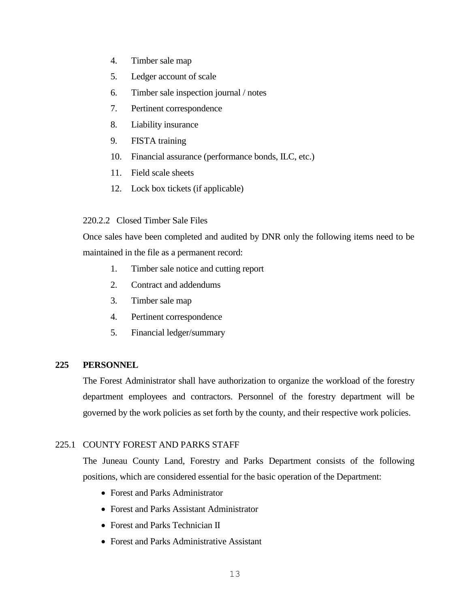- 4. Timber sale map
- 5. Ledger account of scale
- 6. Timber sale inspection journal / notes
- 7. Pertinent correspondence
- 8. Liability insurance
- 9. FISTA training
- 10. Financial assurance (performance bonds, ILC, etc.)
- 11. Field scale sheets
- 12. Lock box tickets (if applicable)

## 220.2.2 Closed Timber Sale Files

Once sales have been completed and audited by DNR only the following items need to be maintained in the file as a permanent record:

- 1. Timber sale notice and cutting report
- 2. Contract and addendums
- 3. Timber sale map
- 4. Pertinent correspondence
- 5. Financial ledger/summary

#### **225 PERSONNEL**

The Forest Administrator shall have authorization to organize the workload of the forestry department employees and contractors. Personnel of the forestry department will be governed by the work policies as set forth by the county, and their respective work policies.

# 225.1 COUNTY FOREST AND PARKS STAFF

The Juneau County Land, Forestry and Parks Department consists of the following positions, which are considered essential for the basic operation of the Department:

- Forest and Parks Administrator
- Forest and Parks Assistant Administrator
- Forest and Parks Technician II
- Forest and Parks Administrative Assistant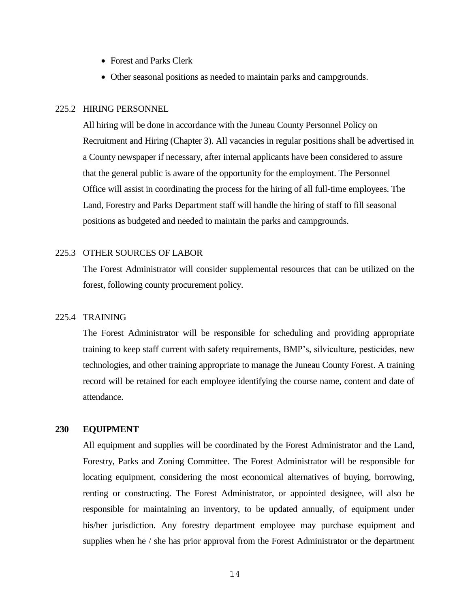- Forest and Parks Clerk
- Other seasonal positions as needed to maintain parks and campgrounds.

#### 225.2 HIRING PERSONNEL

All hiring will be done in accordance with the Juneau County Personnel Policy on Recruitment and Hiring (Chapter 3). All vacancies in regular positions shall be advertised in a County newspaper if necessary, after internal applicants have been considered to assure that the general public is aware of the opportunity for the employment. The Personnel Office will assist in coordinating the process for the hiring of all full-time employees. The Land, Forestry and Parks Department staff will handle the hiring of staff to fill seasonal positions as budgeted and needed to maintain the parks and campgrounds.

#### 225.3 OTHER SOURCES OF LABOR

The Forest Administrator will consider supplemental resources that can be utilized on the forest, following county procurement policy.

## 225.4 TRAINING

The Forest Administrator will be responsible for scheduling and providing appropriate training to keep staff current with safety requirements, BMP's, silviculture, pesticides, new technologies, and other training appropriate to manage the Juneau County Forest. A training record will be retained for each employee identifying the course name, content and date of attendance.

#### **230 EQUIPMENT**

All equipment and supplies will be coordinated by the Forest Administrator and the Land, Forestry, Parks and Zoning Committee. The Forest Administrator will be responsible for locating equipment, considering the most economical alternatives of buying, borrowing, renting or constructing. The Forest Administrator, or appointed designee, will also be responsible for maintaining an inventory, to be updated annually, of equipment under his/her jurisdiction. Any forestry department employee may purchase equipment and supplies when he / she has prior approval from the Forest Administrator or the department